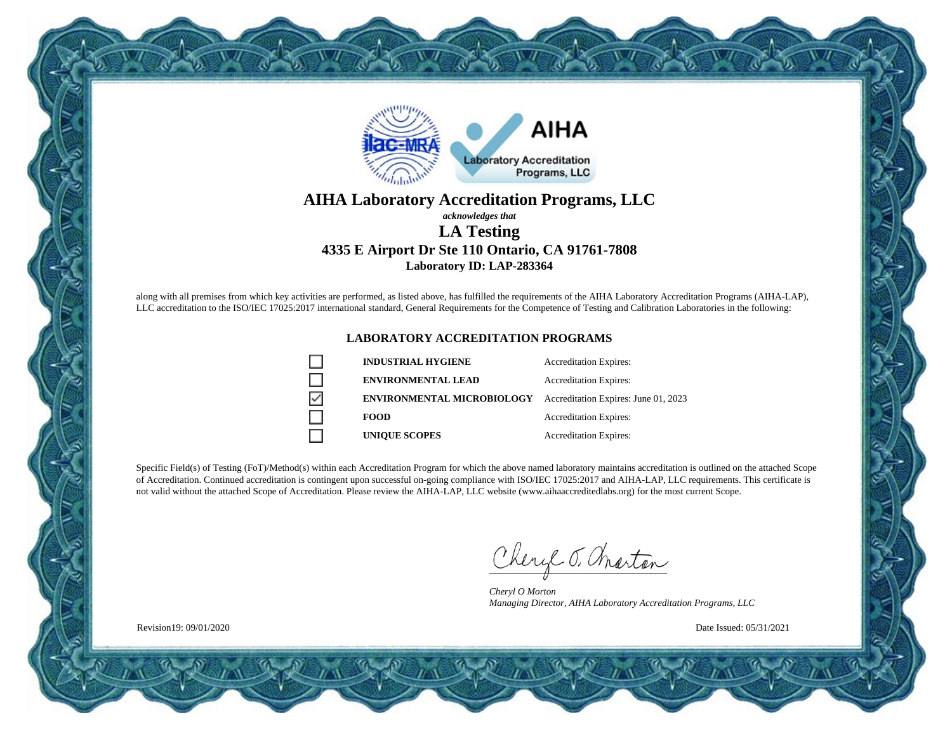

### **AIHA Laboratory Accreditation Programs, LLC** *acknowledges that*

## **LA Testing 4335 E Airport Dr Ste 110 Ontario, CA 91761-7808 Laboratory ID: LAP-283364**

along with all premises from which key activities are performed, as listed above, has fulfilled the requirements of the AIHA Laboratory Accreditation Programs (AIHA-LAP), LLC accreditation to the ISO/IEC 17025:2017 international standard, General Requirements for the Competence of Testing and Calibration Laboratories in the following:

### **LABORATORY ACCREDITATION PROGRAMS**

|   | <b>INDUSTRIAL HYGIENE</b>         | <b>Accreditation Expires:</b>        |
|---|-----------------------------------|--------------------------------------|
|   | <b>ENVIRONMENTAL LEAD</b>         | <b>Accreditation Expires:</b>        |
| ▽ | <b>ENVIRONMENTAL MICROBIOLOGY</b> | Accreditation Expires: June 01, 2023 |
|   | <b>FOOD</b>                       | <b>Accreditation Expires:</b>        |
|   | <b>UNIOUE SCOPES</b>              | <b>Accreditation Expires:</b>        |

Specific Field(s) of Testing (FoT)/Method(s) within each Accreditation Program for which the above named laboratory maintains accreditation is outlined on the attached Scope of Accreditation. Continued accreditation is contingent upon successful on-going compliance with ISO/IEC 17025:2017 and AIHA-LAP, LLC requirements. This certificate is not valid without the attached Scope of Accreditation. Please review the AIHA-LAP, LLC website (www.aihaaccreditedlabs.org) for the most current Scope.

Cheryl J. Charton

*Cheryl O Morton Managing Director, AIHA Laboratory Accreditation Programs, LLC*

Date Issued: 05/31/2021

Revision19: 09/01/2020